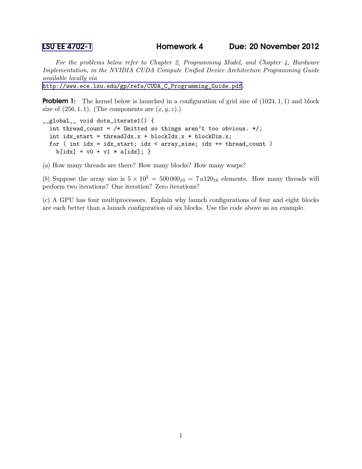## [LSU EE 4702-1](http://www.ece.lsu.edu/koppel/gpup/) Homework 4 Due: 20 November 2012

For the problems below refer to Chapter 2, Programming Model, and Chapter 4, Hardware Implementation, in the NVIDIA CUDA Compute Unified Device Architecture Programming Guide available locally via

[http://www.ece.lsu.edu/gp/refs/CUDA\\_C\\_Programming\\_Guide.pdf](http://www.ece.lsu.edu/gp/refs/CUDA_C_Programming_Guide.pdf).

**Problem 1:** The kernel below is launched in a configuration of grid size of  $(1024, 1, 1)$  and block size of  $(256, 1, 1)$ . (The components are  $(x, y, z)$ .)

```
__global__ void dots_iterate1() {
  int thread_count = /* Omitted so things aren't too obvious. */;
  int idx_start = threadIdx.x + blockIdx.x * blockDim.x;
 for ( int idx = idx_start; idx < array_size; idx += thread_count )
   b[idx] = v0 + v1 * a[idx]; }
```
(a) How many threads are there? How many blocks? How many warps?

(b) Suppose the array size is  $5 \times 10^5 = 500000_{10} = 7 a120_{16}$  elements. How many threads will perform two iterations? One iteration? Zero iterations?

(c) A GPU has four multiprocessors. Explain why launch configurations of four and eight blocks are each better than a launch configuration of six blocks. Use the code above as an example.